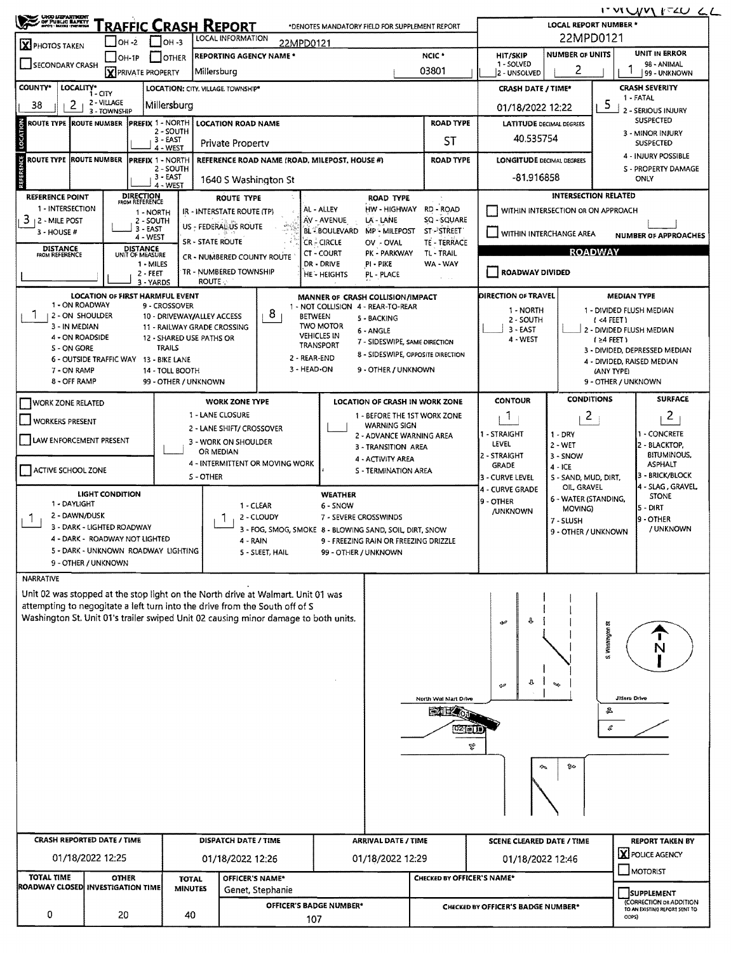**SERIE TRAFFIC CRASH REPORT LOCAL REPORT NUMBER\*** \*DENOTES MANDATORY FIELD FOR SUPPLEMENT REPORT 22MPD0121 **LOCAL INFORMATION** ]он-2  $\Box$ он-з 22MPD0121  $\overline{\mathbf{X}}$  PHOTOS TAKEN **NUMBER OF UNITS UNIT IN ERROR** HIT/SKIP **REPORTING AGENCY NAME \*** NCIC<sup>\*</sup>  $\Box$ OH-1P  $\Box$  OTHER SECONDARY CRASH - SOLVED 98 - ANIMAL 1 **X** PRIVATE PROPERTY Millersburg 03801 2 2 - UNSOLVED 99 - UNKNOWN LOCALITY\* CITY **CRASH SEVERITY** COUNTY\* LOCATION: CITY, VILLAGE, TOWNSHIP\* **CRASH DATE / TIME\*** 1 - FATAL 2 - VILLAGE 38  $2<sub>1</sub>$ Millersburg  $5_{\perp}$  2 - SERIOUS INJURY 01/18/2022 12:22 3 - TOWNSHIP SUSPECTED **PREFIX 1 - NORTH ROUTE TYPE ROUTE NUMBER LOCATION ROAD NAME ROAD TYPE LATITUDE DECIMAL DEGREES** - SOUTH 3 - MINOR INJURY 40.535754  $\overline{3}$ - EAST **ST Private Property SUSPECTED** 4 - WEST 4 - INJURY POSSIBLE **ROUTE TYPE ROUTE NUMBER PREFIX 1 - NORTH REFERENCE ROAD NAME (ROAD, MILEPOST, HOUSE #) ROAD TYPE LONGITUDE DECIMAL DEGREES S - PROPERTY DAMAGE** - SOUTH  $3 - EAST$  $-81.916858$ ONLY 1640 S Washington St 4 - WEST **INTERSECTION RELATED REFERENCE POINT** DIRECTION<br>FROM REFERENCE **ROUTE TYPE ROAD TYPE** 1 - INTERSECTION HW-HIGHWAY RD-ROAD ÀL - ALLEY WITHIN INTERSECTION OR ON APPROACH IR - INTERSTATE ROUTE (TP) 1 - NORTH  $3 + 2 -$  MILE POST 2 - SOUTH AV - AVENUE LA - LANE SQ - SQUARE US - FEDERAL US ROUTE  $3 - EAST$ BL BOULEVARD MP - MILEPOST **ST-PSTREET**  $3 - HOUSE#$ WITHIN INTERCHANGE AREA **NUMBER OF APPROACHES**  $4 - WEST$ **SR - STATE ROUTE** CR - CIRCLE OV - OVAL TE - TERRACE **DISTANCE** DISTANCE<br>UNIT OF MEASURE **ROADWAY** TL - TRAIL CT - COURT PK - PARKWAY CR - NUMBERED COUNTY ROUTE 1 - MILES DR - DRIVE PI - PIKE WA - WAY **TR - NUMBERED TOWNSHIP** ROADWAY DIVIDED  $2 - FEET$ HE - HEIGHTS PL - PLACE **ROUTE** 3 - YARDS **LOCATION OF FIRST HARMFUL EVENT** MANNER OF CRASH COLLISION/IMPACT DIRECTION OF TRAVEL **MEDIAN TYPE** 1 - ON ROADWAY 9 - CROSSOVER 1 - NOT COLLISION 4 - REAR-TO-REAR  $1 - NQRTH$ 1 - DIVIDED FLUSH MEDIAN  $8<sub>1</sub>$ 1 | 2 - ON SHOULDER 10 - DRIVEWAY/ALLEY ACCESS **RETWEEN** 5 - BACKING 2 - SOUTH  $1 < 4$  FFFT) **TWO MOTOR** 3 - IN MEDIAN 11 - RAILWAY GRADE CROSSING  $3 - FAST$ - DIVIDED FLUSH MEDIAN 6 - ANGLE  $\cdot$ **VEHICLES IN** 4 - ON ROADSIDE 12 - SHARED USE PATHS OR 4 - WEST  $(24$  FEET) 7 - SIDESWIPE, SAME DIRECTION **TRANSPORT TRAILS** S - ON GORE 3 - DIVIDED, DEPRESSED MEDIAN 8 - SIDESWIPE, OPPOSITE DIRECTION  $2 - RFAR-FND$ 6 - OUTSIDE TRAFFIC WAY 13 - BIKE LANE 4 - DIVIDED, RAISED MEDIAN 3 - HEAD-ON 9 - OTHER / UNKNOWN 7 - ON RAMP 14 - TOLL ROOTH (ANY TYPE) 8 - OFF RAMP 99 - OTHER / UNKNOWN 9 - OTHER / UNKNOWN **CONDITIONS SURFACE WORK ZONE TYPE LOCATION OF CRASH IN WORK ZONE** CONTOUR WORK ZONE RELATED 1 - LANE CLOSURE 1 - REFORE THE 1ST WORK ZONE 1  $\overline{2}$  $2<sub>1</sub>$ WORKERS PRESENT **WARNING SIGN** 2 - LANE SHIFT/ CROSSOVER 1 - STRAIGHT - CONCRETE  $1 - DRY$ 2 - ADVANCE WARNING AREA LAW ENFORCEMENT PRESENT 3 - WORK ON SHOULDER LEVEL  $2 - WET$ 2 - BLACKTOP, 3 - TRANSITION AREA OR MEDIAN 2 - STRAIGHT  $3 -$  SNOW **BITUMINOUS,** 4 - ACTIVITY AREA 4 - INTERMITTENT OR MOVING WORK **ASPHALT GRADE**  $4 - ICE$ ACTIVE SCHOOL ZONE **S - TERMINATION AREA 3 - BRICK/BLOCK** S-OTHER S - SAND, MUD, DIRT, 3 - CURVE LEVEL OIL GRAVEL SLAG, GRAVEL 4 - CURVE GRADE **LIGHT CONDITION WEATHER STONE** 6 - WATER (STANDING, 9 - OTHER 1 - DAYLIGHT 1 - CLEAR 6 - SNOW MOVING) - DIRT **/UNKNOWN** 2 - DAWN/DUSK 2 - CLOUDY  $1<sub>1</sub>$  $1<sub>1</sub>$ 7 - SEVERE CROSSWINDS - OTHER 7 - SLUSH 3 - DARK - LIGHTED ROADWAY / UNKNOWN 3 - FOG, SMOG, SMOKE 8 - BLOWING SAND, SOIL, DIRT, SNOW 9 - OTHER / UNKNOWN 4 - DARK - ROADWAY NOT LIGHTED  $4 - RAIN$ 9 - FREEZING RAIN OR FREEZING DRIZZLE 5 - DARK - UNKNOWN ROADWAY LIGHTING 5 - SLEET, HAIL 99 - OTHER / UNKNOWN 9 - OTHER / UNKNOWN NARRATIVE Unit 02 was stopped at the stop light on the North drive at Walmart. Unit 01 was attempting to negogitate a left turn into the drive from the South off of S Washington St. Unit 01's trailer swiped Unit 02 causing minor damage to both units. Washington л **North Wal Mart Drh** Jitters Driv **EXTREMEL** 盆  $\boldsymbol{\mathcal{C}}$ 02 01 T e. **CRASH REPORTED DATE / TIME DISPATCH DATE / TIME ARRIVAL DATE / TIME REPORT TAKEN BY SCENE CLEARED DATE / TIME X** POLICE AGENCY 01/18/2022 12:25 01/18/2022 12:26 01/18/2022 12:29 01/18/2022 12:46 MOTORIST **TOTAL TIME** OFFICER'S NAME\* **CHECKED BY OFFICER'S NAME\* OTHER TOTAL** ROADWAY CLOSED INVESTIGATION TIME **MINUTES** Genet, Stephanie SUPPLEMENT **CORRECTION OR ADDITION**<br>TO AN EXISTING REPORT SENT TO OFFICER'S BADGE NUMBER\* CHECKED BY OFFICER'S BADGE NUMBER\* 0 20 40

107

ITVILVVIITZU LL

**ODPS)**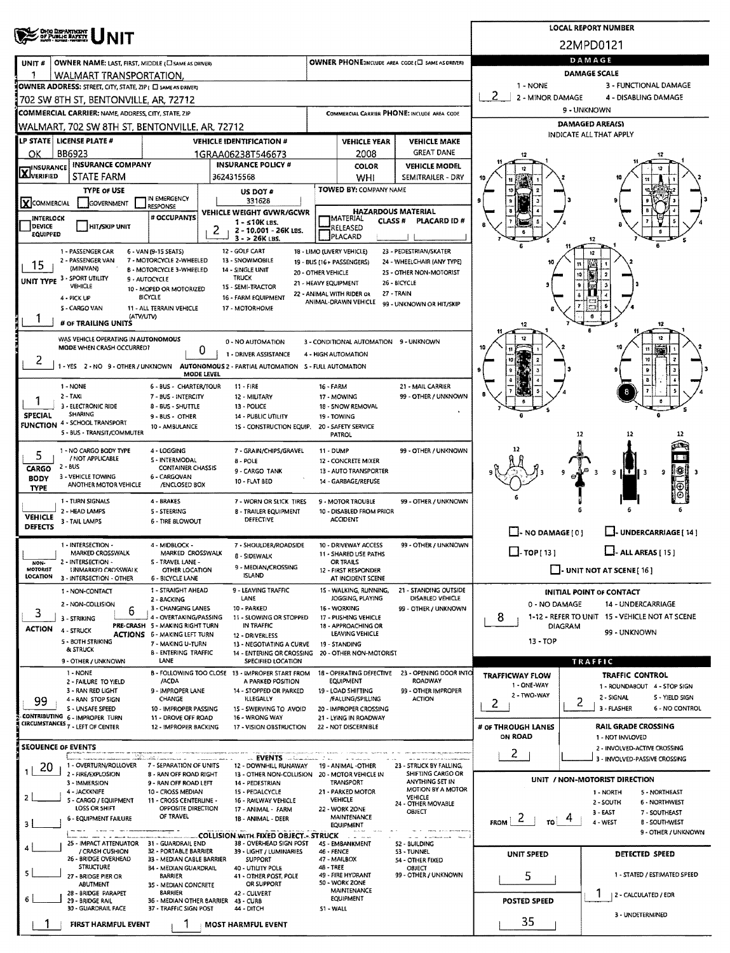| <b>OHOO DEPARTMENT</b><br>OF PUBLIC BATERY                                                                                                                                                            | <b>LOCAL REPORT NUMBER</b>                                                   |                                               |                                                   |                                                                 |                                                                 |  |  |  |  |  |  |  |  |
|-------------------------------------------------------------------------------------------------------------------------------------------------------------------------------------------------------|------------------------------------------------------------------------------|-----------------------------------------------|---------------------------------------------------|-----------------------------------------------------------------|-----------------------------------------------------------------|--|--|--|--|--|--|--|--|
|                                                                                                                                                                                                       |                                                                              |                                               |                                                   |                                                                 | 22MPD0121                                                       |  |  |  |  |  |  |  |  |
| OWNER NAME: LAST, FIRST, MIDDLE (C) SAME AS DRIVERY<br>UNIT#                                                                                                                                          |                                                                              |                                               | OWNER PHONE:INCLUDE AREA CODE (C) SAME AS DRIVER) | DAMAGE                                                          |                                                                 |  |  |  |  |  |  |  |  |
| WALMART TRANSPORTATION.                                                                                                                                                                               |                                                                              |                                               |                                                   | <b>DAMAGE SCALE</b>                                             |                                                                 |  |  |  |  |  |  |  |  |
| OWNER ADDRESS: STREET, CITY, STATE, ZIP ( C) SAME AS DRIVERY                                                                                                                                          |                                                                              |                                               | 3 - FUNCTIONAL DAMAGE<br>1 - NONE                 |                                                                 |                                                                 |  |  |  |  |  |  |  |  |
| 702 SW 8TH ST, BENTONVILLE, AR, 72712                                                                                                                                                                 |                                                                              |                                               |                                                   | 2<br>2 - MINOR DAMAGE<br>4 - DISABLING DAMAGE                   |                                                                 |  |  |  |  |  |  |  |  |
| <b>COMMERCIAL CARRIER: NAME, ADDRESS, CITY, STATE, ZIP</b>                                                                                                                                            |                                                                              |                                               | COMMERCIAL CARRIER PHONE: INCLUDE AREA CODE       | 9 - UNKNOWN<br>DAMAGED AREA(S)                                  |                                                                 |  |  |  |  |  |  |  |  |
| WALMART, 702 SW 8TH ST, BENTONVILLE, AR, 72712                                                                                                                                                        |                                                                              |                                               |                                                   | INDICATE ALL THAT APPLY                                         |                                                                 |  |  |  |  |  |  |  |  |
| LP STATE   LICENSE PLATE #<br><b>VEHICLE IDENTIFICATION #</b><br>BB6923                                                                                                                               | <b>VEHICLE YEAR</b><br><b>VEHICLE MAKE</b><br><b>GREAT DANE</b>              |                                               |                                                   |                                                                 |                                                                 |  |  |  |  |  |  |  |  |
| ОΚ<br>1GRAA06238T546673<br><b>INSURANCE COMPANY</b><br><b>INSURANCE POLICY #</b><br><b>IINSURANCE</b>                                                                                                 | 2008<br><b>COLOR</b><br><b>VEHICLE MODEL</b>                                 |                                               |                                                   |                                                                 |                                                                 |  |  |  |  |  |  |  |  |
| <b>LAJVERIFIED</b><br>STATE FARM<br>3624315568                                                                                                                                                        |                                                                              | WHI                                           | SEMITRAILER - DRY                                 |                                                                 |                                                                 |  |  |  |  |  |  |  |  |
| <b>TYPE OF USE</b><br>US DOT #                                                                                                                                                                        |                                                                              | TOWED BY: COMPANY NAME                        |                                                   |                                                                 |                                                                 |  |  |  |  |  |  |  |  |
| IN EMERGENCY<br>331628<br>XCOMMERCIAL<br>GOVERNMENT<br><b>RESPONSE</b><br>VEHICLE WEIGHT GVWR/GCWR                                                                                                    |                                                                              | <b>HAZARDOUS MATERIAL</b>                     |                                                   |                                                                 |                                                                 |  |  |  |  |  |  |  |  |
| # OCCUPANTS<br>INTERLOCK<br>$1 - 510K$ LBS.<br>DEVICE<br><b>HIT/SKIP UNIT</b>                                                                                                                         |                                                                              | <b>MATERIAL</b><br><b>CLASS #</b><br>RELEASED | PLACARD ID #                                      |                                                                 |                                                                 |  |  |  |  |  |  |  |  |
| 2 - 10.001 - 26K LBS.<br><b>EQUIPPED</b><br>$3 - 26K$ LBS.                                                                                                                                            |                                                                              | PLACARD                                       |                                                   |                                                                 | 12                                                              |  |  |  |  |  |  |  |  |
| 12 - GOLF CART<br>18 - LIMO (LIVERY VEHICLE)<br>23 - PEDESTRIAN/SKATER<br>1 - PASSENGER CAR<br>6 - VAN (9-15 SEATS)<br>12                                                                             |                                                                              |                                               |                                                   |                                                                 |                                                                 |  |  |  |  |  |  |  |  |
| 2 - PASSENGER VAN<br>7 - MOTORCYCLE 2-WHEELED<br>13 - SNOWMOBILE<br>24 - WHEELCHAIR (ANY TYPE)<br>19 - BUS (16+ PASSENGERS)<br>15<br>(MINIVAN)<br><b>B - MOTORCYCLE 3-WHEELED</b><br>14 - SINGLE UNIT |                                                                              |                                               |                                                   |                                                                 |                                                                 |  |  |  |  |  |  |  |  |
| 25 - OTHER NON-MOTORIST<br>20 - OTHER VEHICLE<br>UNIT TYPE 3 - SPORT UTILITY<br><b>TRUCK</b><br>9 - AUTOCYCLE<br>26 - BICYCLE<br>21 - HEAVY EQUIPMENT<br>VEHICLE<br>15 - SEMI-TRACTOR                 |                                                                              |                                               |                                                   |                                                                 |                                                                 |  |  |  |  |  |  |  |  |
| 10 - MOPED OR MOTORIZED<br><b><i>BICYCLE</i></b><br>16 - FARM EQUIPMENT<br>4 - PICK UP                                                                                                                |                                                                              | 22 - ANIMAL WITH RIDER OR                     | 27 - TRAIN                                        |                                                                 |                                                                 |  |  |  |  |  |  |  |  |
| 5 - CARGO VAN<br>11 - ALL TERRAIN VEHICLE<br>17 - MOTORHOME<br>(ATV/UTV)                                                                                                                              | ANIMAL-DRAWN VEHICLE<br>99 - UNKNOWN OR HIT/SKIP                             |                                               |                                                   |                                                                 |                                                                 |  |  |  |  |  |  |  |  |
| # OF TRAILING UNITS                                                                                                                                                                                   |                                                                              |                                               |                                                   | 12                                                              |                                                                 |  |  |  |  |  |  |  |  |
| WAS VEHICLE OPERATING IN AUTONOMOUS<br>0 - NO AUTOMATION                                                                                                                                              |                                                                              | 3 - CONDITIONAL AUTOMATION 9 - UNKNOWN        |                                                   |                                                                 |                                                                 |  |  |  |  |  |  |  |  |
| MODE WHEN CRASH OCCURRED?<br>0<br>1 - DRIVER ASSISTANCE<br>۷                                                                                                                                          |                                                                              | 4 - HIGH AUTOMATION                           |                                                   |                                                                 |                                                                 |  |  |  |  |  |  |  |  |
| 1 - YES 2 - NO 9 - OTHER / UNKNOWN<br>AUTONOMOUS 2 - PARTIAL AUTOMATION 5 - FULL AUTOMATION<br>MODE LEVEL                                                                                             |                                                                              |                                               |                                                   |                                                                 |                                                                 |  |  |  |  |  |  |  |  |
| 1 - NONE<br>6 - BUS - CHARTER/TOUR<br>$11 -$ FIRE                                                                                                                                                     | 16 - FARM                                                                    |                                               | 21 - MAIL CARRIER                                 |                                                                 |                                                                 |  |  |  |  |  |  |  |  |
| $2 - TAXi$<br>7 - BUS - INTERCITY<br>12 - MILITARY<br>1                                                                                                                                               |                                                                              | 17 - MOWING                                   | 99 - OTHER / UNKNOWN                              |                                                                 |                                                                 |  |  |  |  |  |  |  |  |
| 3 - ELECTRONIC RIDE<br>8 - BUS - SHUTTLE<br>13 - POLICE<br>SHARING<br><b>SPECIAL</b><br>9 - BUS - OTHER<br>14 - PUBLIC UTILITY                                                                        |                                                                              | 18 - SNOW REMOVAL<br>19 - TOWING              |                                                   |                                                                 |                                                                 |  |  |  |  |  |  |  |  |
| <b>FUNCTION 4 - SCHOOL TRANSPORT</b><br>10 - AMBULANCE<br>1S - CONSTRUCTION EQUIP.<br>5 - BUS - TRANSIT/COMMUTER                                                                                      |                                                                              | 20 - SAFETY SERVICE                           |                                                   |                                                                 | 12                                                              |  |  |  |  |  |  |  |  |
|                                                                                                                                                                                                       |                                                                              | PATROL                                        |                                                   |                                                                 |                                                                 |  |  |  |  |  |  |  |  |
| 4 - LOGGING<br>1 - NO CARGO BODY TYPE<br>7 - GRAIN/CHIPS/GRAVEL<br>5<br>/ NOT APPLICABLE<br>S - INTERMODAL<br><b>B-POLE</b>                                                                           | 99 - OTHER / UNKNOWN<br><b>11 - DUMP</b><br>12 - CONCRETE MIXER              |                                               |                                                   |                                                                 |                                                                 |  |  |  |  |  |  |  |  |
| 2 - BUS<br>CARGO<br><b>CONTAINER CHASSIS</b><br>9 - CARGO TANK<br>3 - VEHICLE TOWING<br>6 - CARGOVAN<br><b>BODY</b>                                                                                   |                                                                              | 13 - AUTO TRANSPORTER                         |                                                   |                                                                 | 滕<br>9<br>a<br>- 3                                              |  |  |  |  |  |  |  |  |
| 10 - FLAT BED<br>ANOTHER MOTOR VEHICLE<br>/ENCLOSED BOX<br><b>TYPE</b>                                                                                                                                | 14 - GARBAGE/REFUSE                                                          |                                               |                                                   |                                                                 |                                                                 |  |  |  |  |  |  |  |  |
| 1 - TURN SIGNALS<br>4 - BRAKES<br>7 - WORN OR SLICK TIRES                                                                                                                                             |                                                                              | 9 - MOTOR TROUBLE                             | 99 - OTHER / UNKNOWN                              |                                                                 |                                                                 |  |  |  |  |  |  |  |  |
| 2 - HEAD LAMPS<br>5 - STEERING<br><b>8 - TRAILER EQUIPMENT</b><br><b>VEHICLE</b><br>DEFECTIVE<br>3 - TAIL LAMPS<br>6 - TIRE BLOWOUT                                                                   |                                                                              | 10 - DISABLED FROM PRIOR<br><b>ACCIDENT</b>   |                                                   |                                                                 |                                                                 |  |  |  |  |  |  |  |  |
| <b>DEFECTS</b>                                                                                                                                                                                        |                                                                              |                                               | $\Box$ - NO DAMAGE $[0]$                          | J-UNDERCARRIAGE [ 14 ]                                          |                                                                 |  |  |  |  |  |  |  |  |
| 1 - INTERSECTION -<br>4 - MIDBLOCK -<br>7 - SHOULDER/ROADSIDE<br>MARKED CROSSWALK<br>MARKED CROSSWALK                                                                                                 |                                                                              | 10 - DRIVEWAY ACCESS                          | 99 - OTHER / UNKNOWN                              | $\square$ - TOP [ 13 ]                                          | $\Box$ - ALL AREAS [ 15 ]                                       |  |  |  |  |  |  |  |  |
| 8 - SIDEWALK<br>2 - INTERSECTION -<br>S - TRAVEL LANE -<br>NON-<br>9 - MEDIAN/CROSSING                                                                                                                |                                                                              | 11 - SHARED USE PATHS<br>OR TRAILS            |                                                   |                                                                 |                                                                 |  |  |  |  |  |  |  |  |
| <b>MOTORIST</b><br>UNMARKED CROSSWALK<br>OTHER LOCATION<br><b>ISLAND</b><br>LOCATION<br>3 - INTERSECTION - OTHER<br>6 - BICYCLE LANE                                                                  |                                                                              | 12 - FIRST RESPONDER<br>AT INCIDENT SCENE     |                                                   | $\Box$ - UNIT NOT AT SCENE [16]                                 |                                                                 |  |  |  |  |  |  |  |  |
| 1 - STRAIGHT AHEAD<br>9 - LEAVING TRAFFIC<br>1 - NON-CONTACT                                                                                                                                          |                                                                              | 15 - WALKING, RUNNING,                        | 21 - STANDING OUTSIDE                             | <b>INITIAL POINT OF CONTACT</b>                                 |                                                                 |  |  |  |  |  |  |  |  |
| LANE<br>2 - 8ACKING<br>2 - NON-COLLISION<br>10 - PARKED<br>3 - CHANGING LANES<br>6                                                                                                                    | DISABLED VEHICLE<br>IOGGING, PLAYING<br>16 - WORKING<br>99 - OTHER / UNKNOWN |                                               |                                                   | 0 - NO DAMAGE<br>14 - UNDERCARRIAGE                             |                                                                 |  |  |  |  |  |  |  |  |
| 3<br>4 - OVERTAKING/PASSING<br>11 - SLOWING OR STOPPED<br>3 - STRIKING<br>PRE-CRASH 5 - MAKING RIGHT TURN<br>IN TRAFFIC                                                                               |                                                                              | 17 - PUSHING VEHICLE<br>18 - APPROACHING OR   |                                                   | 1-12 - REFER TO UNIT 15 - VEHICLE NOT AT SCENE<br>8.<br>DIAGRAM |                                                                 |  |  |  |  |  |  |  |  |
| <b>ACTION</b><br>4 - STRUCK<br><b>ACTIONS 6 - MAKING LEFT TURN</b><br>12 - DRIVERLESS<br>5 - BOTH STRIKING                                                                                            |                                                                              | LEAVING VEHICLE                               |                                                   | 99 - UNKNOWN<br>$13 - TOP$                                      |                                                                 |  |  |  |  |  |  |  |  |
| 7 - MAKING U-TURN<br>13 - NEGOTIATING A CURVE<br><b>&amp; STRUCK</b><br><b>B - ENTERING TRAFFIC</b><br>14 - ENTERING OR CROSSING 20 - OTHER NON-MOTORIST                                              |                                                                              | 19 - STANDING                                 |                                                   |                                                                 |                                                                 |  |  |  |  |  |  |  |  |
| 9 - OTHER / UNKNOWN<br>LANE<br>SPECIFIED LOCATION                                                                                                                                                     |                                                                              |                                               |                                                   | TRAFFIC                                                         |                                                                 |  |  |  |  |  |  |  |  |
| 1 - NONE<br>B - FOLLOWING TOO CLOSE 13 - IMPROPER START FROM<br>/ACDA<br>A PARKED POSITION<br>2 - FAILURE TO YIELD                                                                                    |                                                                              | 18 - OPERATING DEFECTIVE<br><b>EQUIPMENT</b>  | 23 - OPENING DOOR INTO<br><b>ROADWAY</b>          | TRAFFICWAY FLOW<br>1 - ONE-WAY                                  | <b>TRAFFIC CONTROL</b>                                          |  |  |  |  |  |  |  |  |
| 9 - IMPROPER LANE<br>3 - RAN RED LIGHT<br>14 - STOPPED OR PARKED<br>CHANGE<br><b>ILLEGALLY</b><br>4 - RAN STOP SIGN                                                                                   |                                                                              | 19 - LOAD SHIFTING<br>/FALUNG/SPILLING        | 99 - OTHER IMPROPER<br><b>ACTION</b>              | 2 - TWO-WAY                                                     | 1 - ROUNDABOUT 4 - STOP SIGN<br>2 - SIGNAL<br>5 - YIELD SIGN    |  |  |  |  |  |  |  |  |
| 99<br>S - UNSAFE SPEED<br>10 - IMPROPER PASSING<br>15 - SWERVING TO AVOID                                                                                                                             |                                                                              | 20 - IMPROPER CROSSING                        |                                                   | 2                                                               | 2<br>3 - FLASHER<br>6 - NO CONTROL                              |  |  |  |  |  |  |  |  |
| CONTRIBUTING 6 - IMPROPER TURN<br>11 - DROVE OFF ROAD<br>16 - WRONG WAY<br><b>CIRCUMSTANCES 7 - LEFT OF CENTER</b><br>12 - IMPROPER BACKING<br>17 - VISION OBSTRUCTION                                |                                                                              | 21 - LYING IN ROADWAY<br>22 - NOT DISCERNIBLE |                                                   | # or THROUGH LANES                                              | <b>RAIL GRADE CROSSING</b>                                      |  |  |  |  |  |  |  |  |
|                                                                                                                                                                                                       |                                                                              |                                               |                                                   | ON ROAD                                                         | 1 - NOT INVLOVED                                                |  |  |  |  |  |  |  |  |
| <b>SEOUENCE OF EVENTS</b><br><b>EVENTS</b>                                                                                                                                                            |                                                                              |                                               |                                                   | 2                                                               | 2 - INVOLVED-ACTIVE CROSSING<br>3 - INVOLVED-PASSIVE CROSSING   |  |  |  |  |  |  |  |  |
| 1 - OVERTURN/ROLLOVER<br>7 - SEPARATION OF UNITS<br>12 - DOWNHILL RUNAWAY<br>20<br>1<br>2 - FIRE/EXPLOSION                                                                                            |                                                                              | 19 - ANIMAL -OTHER<br>20 - MOTOR VEHICLE IN   | 23 - STRUCK BY FALLING.<br>SHIFTING CARGO OR      |                                                                 |                                                                 |  |  |  |  |  |  |  |  |
| 8 - RAN OFF ROAD RIGHT<br>13 - OTHER NON-COLLISION<br>3 - IMMERSION<br>9 - RAN OFF ROAD LEFT<br>14 - PEDESTRIAN                                                                                       |                                                                              | TRANSPORT                                     | ANYTHING SET IN                                   |                                                                 | UNIT / NON-MOTORIST DIRECTION                                   |  |  |  |  |  |  |  |  |
| 4 - JACKKNIFE<br>10 - CROSS MEDIAN<br>15 - PEDALCYCLE<br>$\mathbf{z}$<br>5 - CARGO / EQUIPMENT<br>11 - CROSS CENTERLINE -<br>16 - RAILWAY VEHICLE                                                     |                                                                              | 21 - PARKED MOTOR<br><b>VEHICLE</b>           | MOTION BY A MOTOR<br>VEHICLE                      |                                                                 | 1 - NORTH<br>5 - NORTHEAST<br>2 - SOUTH<br><b>6 - NORTHWEST</b> |  |  |  |  |  |  |  |  |
| LOSS OR SHIFT<br>OPPOSITE DIRECTION<br>17 - ANIMAL - FARM<br>OF TRAVEL<br>6 - EQUIPMENT FAILURE                                                                                                       | 24 - OTHER MOVABLE<br>22 - WORK ZONE<br><b>OBJECT</b><br>MAINTENANCE         |                                               |                                                   |                                                                 | $3 - EAST$<br>7 - SOUTHEAST                                     |  |  |  |  |  |  |  |  |
| $F_{\text{ROM}}$   2<br>1B - ANIMAL - DEER<br>۱or<br>4 - WEST<br>8 - SOUTHWEST<br>3<br><b>EQUIPMENT</b>                                                                                               |                                                                              |                                               |                                                   |                                                                 |                                                                 |  |  |  |  |  |  |  |  |
| <b>COLLISION WITH FIXED OBJECT.- STRUCK</b><br>25 - IMPACT ATTENUATOR 31 - GUARDRAIL END<br>38 - OVERHEAD SIGN POST                                                                                   |                                                                              | $\sim$ $ \sim$<br>45 - EMBANKMENT             | <b>The Commission Control</b><br>52 - BUILDING    |                                                                 | 9 - OTHER / UNKNOWN                                             |  |  |  |  |  |  |  |  |
| 4<br>/ CRASH CUSHION<br>32 - PORTABLE BARRIER<br>39 - LIGHT / LUMINARIES<br>26 - BRIDGE OVERHEAD<br>33 - MEDIAN CABLE BARRIER<br><b>SUPPORT</b>                                                       | 46 - FENCE                                                                   | 47 - MAILBOX                                  | 53 - TUNNEL<br>54 - OTHER FIXED                   | UNIT SPEED                                                      | DETECTED SPEED                                                  |  |  |  |  |  |  |  |  |
| <b>STRUCTURE</b><br>34 - MEDIAN GUARDRAIL<br>40 - UTILITY POLE<br>5<br><b>BARRIER</b><br>41 - OTHER POST, POLE                                                                                        | 48 - TREE                                                                    | 49 - FIRE HYDRANT                             | OBJECT<br>99 - OTHER / UNKNOWN                    |                                                                 | 1 - STATED / ESTIMATED SPEED                                    |  |  |  |  |  |  |  |  |
| 27 - BRIDGE PIER OR<br>OR SUPPORT<br>ABUTMENT<br>35 - MEDIAN CONCRETE                                                                                                                                 |                                                                              | 50 - WORK ZONE<br><b>MAINTENANCE</b>          |                                                   | 5                                                               |                                                                 |  |  |  |  |  |  |  |  |
| 28 - BRIDGE PARAPET<br><b>BARRIER</b><br>42 - CULVERT<br>6<br>29 - BRIDGE RAIL<br>36 - MEDIAN OTHER BARRIER<br>43 - CURB                                                                              |                                                                              | EQUIPMENT                                     | 2 - CALCULATED / EDR<br><b>POSTED SPEED</b>       |                                                                 |                                                                 |  |  |  |  |  |  |  |  |
| 30 - GUARDRAIL FACE<br>37 - TRAFFIC SIGN POST<br>44 - DITCH                                                                                                                                           | 51 - WALL                                                                    |                                               |                                                   |                                                                 | 3 - UNDETERMINED                                                |  |  |  |  |  |  |  |  |
| FIRST HARMFUL EVENT<br><b>MOST HARMFUL EVENT</b>                                                                                                                                                      |                                                                              |                                               |                                                   | 35                                                              |                                                                 |  |  |  |  |  |  |  |  |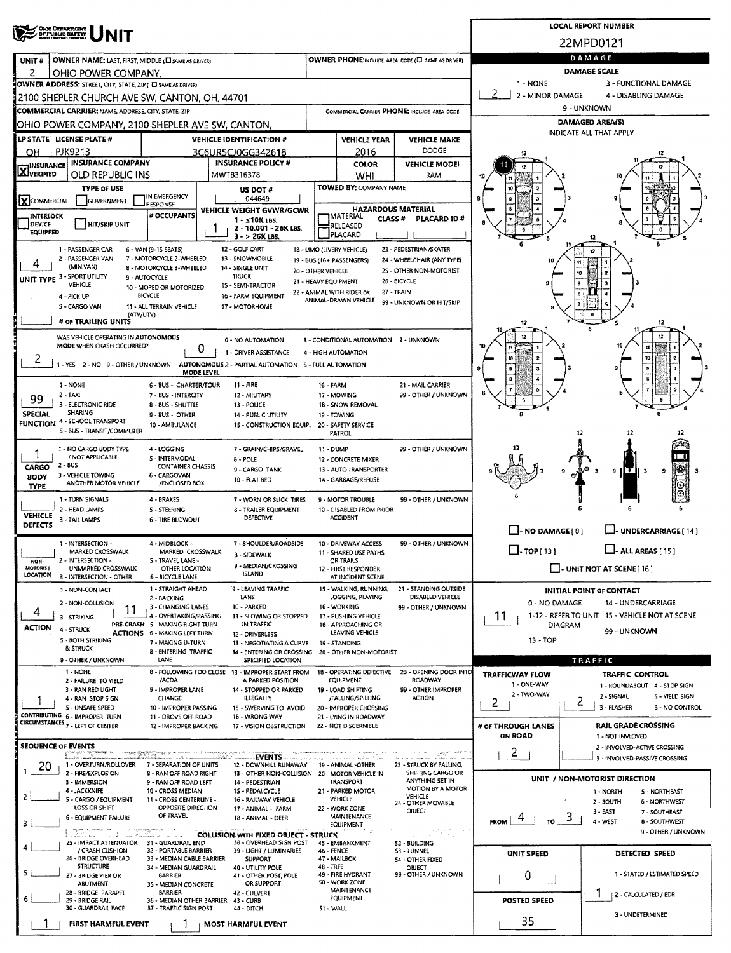| ORIO DEPARTMENT<br>OF PUBLIC BAFETY                                                                                                                                       |                                                                                                        | <b>LOCAL REPORT NUMBER</b>                                                                             |                                                              |                                                   |                                                   |                                                      |                                                                    |  |  |  |  |  |
|---------------------------------------------------------------------------------------------------------------------------------------------------------------------------|--------------------------------------------------------------------------------------------------------|--------------------------------------------------------------------------------------------------------|--------------------------------------------------------------|---------------------------------------------------|---------------------------------------------------|------------------------------------------------------|--------------------------------------------------------------------|--|--|--|--|--|
|                                                                                                                                                                           |                                                                                                        | 22MPD0121                                                                                              |                                                              |                                                   |                                                   |                                                      |                                                                    |  |  |  |  |  |
| UNIT#<br>OWNER NAME: LAST, FIRST, MIDDLE (E) SAME AS DRIVERY                                                                                                              |                                                                                                        |                                                                                                        |                                                              |                                                   | OWNER PHONE:INCLUDE AREA CODE (C) SAME AS DRIVER) | DAMAGE                                               |                                                                    |  |  |  |  |  |
| 2<br>OHIO POWER COMPANY.                                                                                                                                                  |                                                                                                        |                                                                                                        |                                                              |                                                   |                                                   | DAMAGE SCALE                                         |                                                                    |  |  |  |  |  |
| OWNER ADDRESS: STREET, CITY, STATE, ZIP ( C) SAME AS DRIVER)                                                                                                              |                                                                                                        |                                                                                                        |                                                              |                                                   |                                                   | 1 - NONE<br>-2<br>2 - MINOR DAMAGE                   | 3 - FUNCTIONAL DAMAGE<br>4 - DISABLING DAMAGE                      |  |  |  |  |  |
| 2100 SHEPLER CHURCH AVE SW, CANTON, OH, 44701<br><b>COMMERCIAL CARRIER: NAME, ADDRESS, CITY, STATE, ZIP</b>                                                               |                                                                                                        |                                                                                                        |                                                              |                                                   | COMMERCIAL CARRIER PHONE: INCLUDE AREA CODE       |                                                      | 9 - UNKNOWN                                                        |  |  |  |  |  |
| OHIO POWER COMPANY, 2100 SHEPLER AVE SW, CANTON,                                                                                                                          |                                                                                                        |                                                                                                        |                                                              |                                                   |                                                   | <b>DAMAGED AREA(S)</b>                               |                                                                    |  |  |  |  |  |
| LP STATE   LICENSE PLATE #                                                                                                                                                |                                                                                                        | <b>VEHICLE IDENTIFICATION #</b>                                                                        |                                                              | <b>VEHICLE YEAR</b>                               | <b>VEHICLE MAKE</b>                               | INDICATE ALL THAT APPLY                              |                                                                    |  |  |  |  |  |
| <b>PJK9213</b><br>он                                                                                                                                                      |                                                                                                        | 3C6UR5CJ0GG342618                                                                                      | DODGE<br>2016                                                |                                                   |                                                   |                                                      |                                                                    |  |  |  |  |  |
| <b>INSURANCE COMPANY</b>                                                                                                                                                  |                                                                                                        | <b>INSURANCE POLICY #</b>                                                                              |                                                              | <b>COLOR</b>                                      | <b>VEHICLE MODEL</b>                              |                                                      |                                                                    |  |  |  |  |  |
| <b>X</b> INSURANCE<br><b>OLD REPUBLIC INS</b>                                                                                                                             |                                                                                                        | MWTB316378                                                                                             |                                                              | WHI                                               | RAM                                               |                                                      |                                                                    |  |  |  |  |  |
| <b>TYPE OF USE</b>                                                                                                                                                        | <b>US DOT#</b>                                                                                         |                                                                                                        | <b>TOWED BY: COMPANY NAME</b>                                |                                                   |                                                   |                                                      |                                                                    |  |  |  |  |  |
| X COMMERCIAL<br>GOVERNMENT                                                                                                                                                | IN EMERGENCY<br>RESPONSE                                                                               | 044649<br><b>VEHICLE WEIGHT GVWR/GCWR</b>                                                              |                                                              | <b>HAZARDOUS MATERIAL</b>                         |                                                   |                                                      |                                                                    |  |  |  |  |  |
| <b>INTERLOCK</b><br><b>DEVICE</b><br><b>HIT/SKIP UNIT</b>                                                                                                                 | # OCCUPANTS                                                                                            | $1 - 510K$ LBS.                                                                                        | <b>IMATERIAL</b><br><b>CLASS#</b><br>PLACARD ID#<br>RELEASED |                                                   |                                                   |                                                      |                                                                    |  |  |  |  |  |
| <b>EQUIPPED</b>                                                                                                                                                           |                                                                                                        | 2 - 10.001 - 26K LBS.<br>3 - > 26K LBS.                                                                |                                                              | PLACARD                                           |                                                   |                                                      |                                                                    |  |  |  |  |  |
| 23 - PEDESTRIAN/SKATER<br>1 - PASSENGER CAR<br>12 - GOLF CART<br>18 - LIMO (LIVERY VEHICLE)<br>6 - VAN (9-1S SEATS)<br>12<br>13 - SNOWMOBILE<br>19 - BUS (16+ PASSENGERS) |                                                                                                        |                                                                                                        |                                                              |                                                   |                                                   |                                                      |                                                                    |  |  |  |  |  |
| 2 - PASSENGER VAN<br>4<br>(MINIVAN)                                                                                                                                       | 7 - MOTORCYCLE 2-WHEELED<br>8 - MOTORCYCLE 3-WHEELED                                                   | 24 - WHEELCHAIR (ANY TYPE)<br>25 - OTHER NON-MOTORIST                                                  |                                                              | Ħ                                                 |                                                   |                                                      |                                                                    |  |  |  |  |  |
| UNIT TYPE 3 - SPORT UTILITY<br>VEHICLE                                                                                                                                    | 9 - AUTOCYCLE                                                                                          | 26 - BICYCLE                                                                                           | 10<br>9                                                      |                                                   |                                                   |                                                      |                                                                    |  |  |  |  |  |
| 4 - PICK UP                                                                                                                                                               | 10 - MOPED OR MOTORIZED<br>BICYCLE                                                                     | 15 - SEMI-TRACTOR<br>16 - FARM EQUIPMENT                                                               |                                                              | 22 - ANIMAL WITH RIDER OR<br>ANIMAL-DRAWN VEHICLE | 27 - TRAIN                                        |                                                      |                                                                    |  |  |  |  |  |
| S - CARGO VAN<br>(ATV/UTV)                                                                                                                                                | 11 - ALL TERRAIN VEHICLE                                                                               | 17 - MOTORHOME                                                                                         |                                                              |                                                   | 99 - UNKNOWN OR HIT/SKIP                          |                                                      |                                                                    |  |  |  |  |  |
| # OF TRAILING UNITS                                                                                                                                                       |                                                                                                        |                                                                                                        |                                                              |                                                   |                                                   |                                                      |                                                                    |  |  |  |  |  |
| WAS VEHICLE OPERATING IN AUTONOMOUS                                                                                                                                       |                                                                                                        | 3 - CONDITIONAL AUTOMATION 9 - UNKNOWN                                                                 |                                                              |                                                   |                                                   |                                                      |                                                                    |  |  |  |  |  |
| MODE WHEN CRASH OCCURRED?                                                                                                                                                 | U                                                                                                      |                                                                                                        |                                                              |                                                   |                                                   |                                                      |                                                                    |  |  |  |  |  |
| ۷                                                                                                                                                                         |                                                                                                        | 1 - YES 2 - NO 9 - OTHER / UNKNOWN AUTONOMOUS 2 - PARTIAL AUTOMATION 5 - FULL AUTOMATION<br>MODE LEVEL |                                                              |                                                   |                                                   |                                                      |                                                                    |  |  |  |  |  |
| 1 - NONE                                                                                                                                                                  | 6 - BUS - CHARTER/TOUR                                                                                 | 11 - FIRE                                                                                              | 16 - FARM                                                    |                                                   | 21 - MAIL CARRIER                                 |                                                      |                                                                    |  |  |  |  |  |
| 2 - TAXI<br>99                                                                                                                                                            | 7 - BUS - INTERCITY                                                                                    | 12 - MILITARY                                                                                          |                                                              | 17 - MOWING                                       | 99 - OTHER / UNKNOWN                              |                                                      |                                                                    |  |  |  |  |  |
| 3 - ELECTRONIC RIDE<br>SHARING<br>SPECIAL                                                                                                                                 | 8 - 8US - SHUTTLE<br>9-BUS OTHER                                                                       | 13 - POLICE<br>14 - PUBLIC UTILITY                                                                     |                                                              | 18 - SNOW REMOVAL<br>19 - TOWING                  |                                                   |                                                      |                                                                    |  |  |  |  |  |
| <b>FUNCTION 4 - SCHOOL TRANSPORT</b><br>5 - BUS - TRANSIT/COMMUTER                                                                                                        | 10 - AMBULANCE                                                                                         | 15 - CONSTRUCTION EQUIP.                                                                               |                                                              | 20 - SAFETY SERVICE                               |                                                   |                                                      |                                                                    |  |  |  |  |  |
|                                                                                                                                                                           | 4 - LOGGING                                                                                            |                                                                                                        |                                                              | PATROL                                            |                                                   |                                                      | 12<br>12                                                           |  |  |  |  |  |
| 1 - NO CARGO BODY TYPE<br>/ NOT APPLICABLE                                                                                                                                | 7 - GRAIN/CHIPS/GRAVEL<br><b>B - POLE</b>                                                              | 11 - DUMP                                                                                              | 12 - CONCRETE MIXER                                          | 99 - OTHER / UNKNOWN                              | 12                                                | İ                                                    |                                                                    |  |  |  |  |  |
| 2 - BUS<br>CARGO                                                                                                                                                          | 5 - INTERMODAL<br><b>CONTAINER CHASSIS</b>                                                             | 9 - CARGO TANK                                                                                         |                                                              | 13 - AUTO TRANSPORTER                             |                                                   |                                                      | 18<br>э<br>9<br>Е                                                  |  |  |  |  |  |
| 3 - VEHICLE TOWING<br><b>BODY</b><br>ANOTHER MOTOR VEHICLE<br><b>TYPE</b>                                                                                                 | 6 - CARGOVAN<br>/ENCLOSED BOX                                                                          | 10 - FLAT BED                                                                                          |                                                              | 14 - GARBAGE/REFUSE                               |                                                   |                                                      | Θ                                                                  |  |  |  |  |  |
| 1 - TURN SIGNALS                                                                                                                                                          | 4 - BRAKES                                                                                             | 7 - WORN OR SLICK TIRES                                                                                | 9 - MOTOR TROUBLE<br>99 - OTHER / UNKNOWN                    |                                                   |                                                   |                                                      |                                                                    |  |  |  |  |  |
| 2 - HEAD LAMPS<br><b>VEHICLE</b><br>3 - TAIL LAMPS                                                                                                                        | 5 - STEERING                                                                                           | 8 - TRAILER EQUIPMENT<br>DEFECTIVE                                                                     | 10 - DISABLED FROM PRIOR<br><b>ACCIDENT</b>                  |                                                   |                                                   |                                                      |                                                                    |  |  |  |  |  |
| <b>DEFECTS</b>                                                                                                                                                            | <b>6 - TIRE BLOWOUT</b>                                                                                |                                                                                                        |                                                              |                                                   |                                                   | $\Box$ - NO DAMAGE $[0]$<br>UNDERCARRIAGE [ 14 ]     |                                                                    |  |  |  |  |  |
| 1 - INTERSECTION -                                                                                                                                                        | 7 - SHOULDER/ROADSIDE                                                                                  | 99 - OTHER / UNKNOWN<br>10 - DRIVEWAY ACCESS<br>11 - SHARED USE PATHS                                  |                                                              |                                                   |                                                   |                                                      |                                                                    |  |  |  |  |  |
| 2 - INTERSECTION -                                                                                                                                                        | MARKED CROSSWALK<br>MARKED CROSSWALK<br><b>B - SIDEWALK</b><br>5 - TRAVEL LANE -<br>NON-               |                                                                                                        |                                                              |                                                   |                                                   | $\Box$ -TOP[13]<br>ALL AREAS [ 15 ]                  |                                                                    |  |  |  |  |  |
| MOTORIST<br>UNMARKED CROSSWALK<br><b>LOCATION</b>                                                                                                                         | 9 - MEDIAN/CROSSING<br>OTHER LOCATION<br><b>ISLAND</b><br>3 - INTERSECTION - OTHER<br>6 - BICYCLE LANE |                                                                                                        |                                                              |                                                   |                                                   | $\Box$ - UNIT NOT AT SCENE [16]                      |                                                                    |  |  |  |  |  |
| 1 - NON-CONTACT                                                                                                                                                           | 1 - STRAIGHT AHEAD                                                                                     | 9 - LEAVING TRAFFIC                                                                                    |                                                              | AT INCIDENT SCENE<br>15 - WALKING, RUNNING,       | 21 - STANDING OUTSIDE                             |                                                      | INITIAL POINT OF CONTACT                                           |  |  |  |  |  |
| 2 - NON-COLLISION                                                                                                                                                         | 2 - BACKING<br>3 - CHANGING LANES                                                                      | LANE<br>10 - PARKED                                                                                    | JOGGING, PLAYING<br>DISABLED VEHICLE<br>16 WORKING           |                                                   |                                                   | 0 - NO DAMAGE<br>14 - UNDERCARRIAGE                  |                                                                    |  |  |  |  |  |
| 11<br>4<br>3 - STRIKING                                                                                                                                                   | 4 - OVERTAKING/PASSING                                                                                 | 11 - SLOWING OR STOPPED                                                                                |                                                              | 17 - PUSHING VEHICLE                              | 99 - OTHER / UNKNOWN                              | 1-12 - REFER TO UNIT 15 - VEHICLE NOT AT SCENE<br>11 |                                                                    |  |  |  |  |  |
| <b>ACTION</b><br>4 - STRUCK                                                                                                                                               | PRE-CRASH 5 - MAKING RIGHT TURN<br><b>ACTIONS 6 - MAKING LEFT TURN</b>                                 | IN TRAFFIC<br>12 - DRIVERLESS                                                                          |                                                              | 18 - APPROACHING OR<br>LEAVING VEHICLE            |                                                   | DIAGRAM<br>99 - UNKNOWN                              |                                                                    |  |  |  |  |  |
| 5 - BOTH STRIKING<br><b>B</b> STRUCK                                                                                                                                      | 7 - MAKING U-TURN                                                                                      | 13 - NEGOTIATING A CURVE                                                                               |                                                              | 19 - STANDING                                     |                                                   | $13 - TOP$                                           |                                                                    |  |  |  |  |  |
| 9 - OTHER / UNKNOWN                                                                                                                                                       | <b>B - ENTERING TRAFFIC</b><br>LANE                                                                    | 14 - ENTERING OR CROSSING 20 - OTHER NON-MOTORIST<br>SPECIFIED LOCATION                                |                                                              |                                                   |                                                   | TRAFFIC                                              |                                                                    |  |  |  |  |  |
| 1 - NONE                                                                                                                                                                  |                                                                                                        | 8 - FOLLOWING TOO CLOSE 13 - IMPROPER START FROM                                                       |                                                              | 18 - OPERATING DEFECTIVE                          | 23 - OPENING DOOR INTO                            | <b>TRAFFICWAY FLOW</b>                               | <b>TRAFFIC CONTROL</b>                                             |  |  |  |  |  |
| 2 - FAILURE TO YIELD<br>3 - RAN RED LIGHT                                                                                                                                 | /ACDA<br>9 - IMPROPER LANE                                                                             | A PARKED POSITION<br>14 - STOPPED OR PARKED                                                            |                                                              | <b>EQUIPMENT</b><br>19 - LOAD SHIFTING            | <b>ROADWAY</b><br>99 - OTHER IMPROPER             | 1 - ONE-WAY                                          | 1 - ROUNDABOUT 4 - STOP SIGN                                       |  |  |  |  |  |
| 4 - RAN STOP SIGN<br>5 - UNSAFE SPEED                                                                                                                                     | CHANGE<br>10 - IMPROPER PASSING                                                                        | ILLEGALLY                                                                                              |                                                              | /FALUNG/SPILLING                                  | ACTION                                            | 2 - TWO-WAY<br>2                                     | 2 - SIGNAL<br>5 - YIELD SIGN<br>2<br>3 - FLASHER<br>6 - NO CONTROL |  |  |  |  |  |
| CONTRIBUTING 6 - IMPROPER TURN                                                                                                                                            | 11 - DROVE OFF ROAD                                                                                    | 15 - SWERVING TO AVOID<br>16 - WRONG WAY                                                               |                                                              | 20 - IMPROPER CROSSING<br>21 - LYING IN ROADWAY   |                                                   |                                                      |                                                                    |  |  |  |  |  |
| CIRCUMSTANCES 7 - LEFT OF CENTER                                                                                                                                          | 12 - IMPROPER BACKING                                                                                  | 17 - VISION OBSTRUCTION                                                                                |                                                              | 22 - NOT DISCERNIBLE                              |                                                   | # OF THROUGH LANES<br><b>ON ROAD</b>                 | <b>RAIL GRADE CROSSING</b><br>1 - NOT INVLOVED                     |  |  |  |  |  |
| <b>SEQUENCE OF EVENTS</b>                                                                                                                                                 |                                                                                                        |                                                                                                        |                                                              |                                                   |                                                   |                                                      | 2 - INVOLVED-ACTIVE CROSSING                                       |  |  |  |  |  |
| 1 - OVERTURN/ROLLOVER                                                                                                                                                     | नाव सुवाहित दिवा किया क<br>7 - SEPARATION OF UNITS                                                     | EVENTS.<br>12 - DOWNHILL RUNAWAY                                                                       |                                                              | 19 - ANIMAL -OTHER                                | 23 - STRUCK BY FALLING,                           | 2.                                                   | 3 - INVOLVED-PASSIVE CROSSING                                      |  |  |  |  |  |
| 20<br>2 - FIRE/EXPLOSION                                                                                                                                                  | 8 - RAN OFF ROAD RIGHT                                                                                 | 13 - OTHER NON-COLLISION                                                                               |                                                              | 20 - MOTOR VEHICLE IN                             | SHIFTING CARGO OR<br>ANYTHING SET IN              |                                                      | UNIT / NON-MOTORIST DIRECTION                                      |  |  |  |  |  |
| 3 - IMMERSION<br>4 - JACKKNIFE                                                                                                                                            | 9 - RAN OFF ROAD LEFT<br>10 - CROSS MEDIAN                                                             | 14 - PEDESTRIAN<br>1S - PEDALCYCLE                                                                     |                                                              | <b>TRANSPORT</b><br>21 - PARKED MOTOR             | MOTION BY A MOTOR                                 |                                                      | 5 - NORTHEAST<br>1 - NORTH                                         |  |  |  |  |  |
| 2<br>5 - CARGO / EQUIPMENT<br>LOSS OR SHIFT                                                                                                                               | 11 - CROSS CENTERLINE -<br>16 - RAILWAY VEHICLE<br>OPPOSITE DIRECTION<br>17 - ANIMAL FARM              | VEHICLE<br><b>VEHICLE</b><br>24 OTHER MOVABLE<br>22 - WORK ZONE<br>OBJECT                              |                                                              |                                                   |                                                   | 2 - SOUTH<br>6 - NORTHWEST                           |                                                                    |  |  |  |  |  |
| 6 - EQUIPMENT FAILURE<br>3                                                                                                                                                | FROM<br>TO I                                                                                           | 3 - EAST<br>7 - SOUTHEAST<br>э<br>$4 - WEST$<br><b>B-SOUTHWEST</b>                                     |                                                              |                                                   |                                                   |                                                      |                                                                    |  |  |  |  |  |
| <b>EQUIPMENT</b><br>9 - OTHER / UNKNOWN<br>ing Co<br><b>COLLISION WITH FIXED OBJECT - STRUCK</b><br>$\sim$<br>and the<br>the part of the company of                       |                                                                                                        |                                                                                                        |                                                              |                                                   |                                                   |                                                      |                                                                    |  |  |  |  |  |
| 25 - IMPACT ATTENUATOR<br>/ CRASH CUSHION                                                                                                                                 | 31 - GUARDRAIL END<br>32 - PORTABLE BARRIER                                                            | 38 - OVERHEAD SIGN POST<br>39 - LIGHT / LUMINARIES                                                     | 46 - FENCE                                                   | 45 - EMBANKMENT                                   | 52 - BUILDING<br>S3 - TUNNEL                      |                                                      |                                                                    |  |  |  |  |  |
| 26 - BRIDGE OVERHEAD<br><b>STRUCTURE</b>                                                                                                                                  | 33 - MEDIAN CABLE BARRIER                                                                              | SUPPORT                                                                                                | 48 - TREE                                                    | 47 - MAILBOX                                      | 54 - OTHER FIXED                                  | UNIT SPEED                                           | DETECTED SPEED                                                     |  |  |  |  |  |
| s<br>27 - BRIDGE PIER OR                                                                                                                                                  | 34 - MEDIAN GUARDRAIL<br><b>BARRIER</b>                                                                | 40 - UTILITY POLE<br>41 - OTHER POST, POLE                                                             |                                                              | 49 - FIRE HYDRANT                                 | OBJECT<br>99 - OTHER / UNKNOWN                    | 0                                                    | 1 - STATED / ESTIMATED SPEED                                       |  |  |  |  |  |
| <b>ABUTMENT</b><br>28 - BRIDGE PARAPET                                                                                                                                    | 35 - MEDIAN CONCRETE<br><b>BARRIER</b>                                                                 | OR SUPPORT<br>42 - CULVERT                                                                             |                                                              | 50 - WORK ZONE<br><b>MAINTENANCE</b>              |                                                   |                                                      | Ŧ<br>  2 - CALCULATED / EDR                                        |  |  |  |  |  |
| 29 - BRIDGE RAIL<br>36 - MEDIAN OTHER BARRIER<br>$43 - CURB$<br>30 - GUARDRAIL FACE<br>37 - TRAFFIC SIGN POST<br>44 - DITCH                                               |                                                                                                        |                                                                                                        |                                                              | EQUIPMENT<br>51 - WALL                            |                                                   | POSTED SPEED                                         |                                                                    |  |  |  |  |  |
| <b>FIRST HARMFUL EVENT</b>                                                                                                                                                |                                                                                                        | MOST HARMFUL EVENT                                                                                     |                                                              |                                                   |                                                   | 35                                                   | 3 - UNDETERMINED                                                   |  |  |  |  |  |
|                                                                                                                                                                           |                                                                                                        |                                                                                                        |                                                              |                                                   |                                                   |                                                      |                                                                    |  |  |  |  |  |